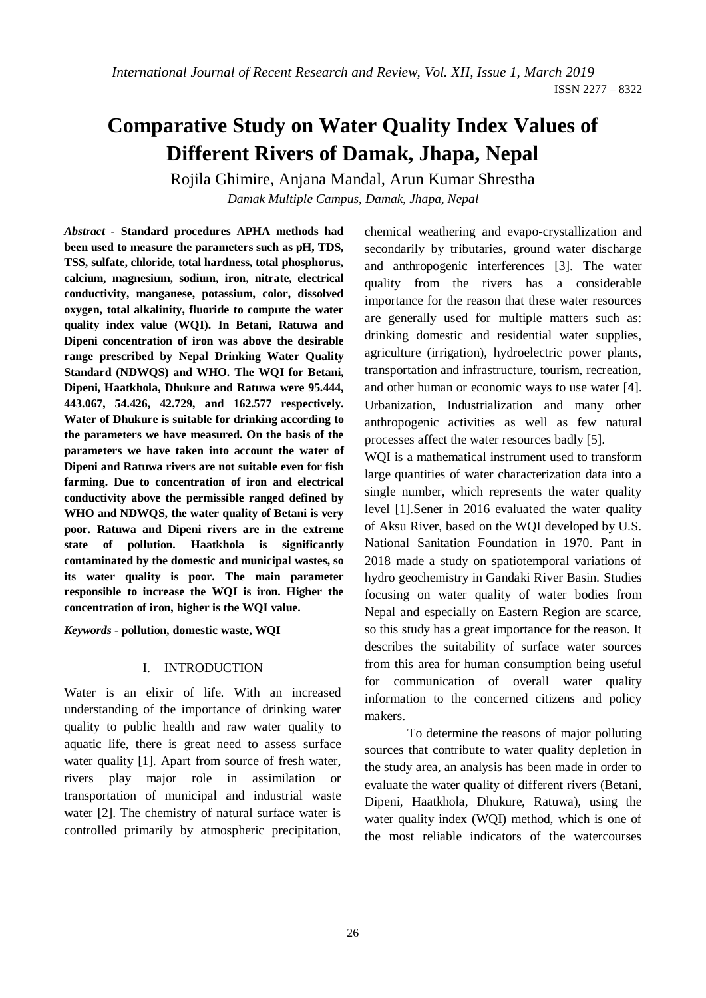# **Comparative Study on Water Quality Index Values of Different Rivers of Damak, Jhapa, Nepal**

Rojila Ghimire, Anjana Mandal, Arun Kumar Shrestha *Damak Multiple Campus, Damak, Jhapa, Nepal*

*Abstract -* **Standard procedures APHA methods had been used to measure the parameters such as pH, TDS, TSS, sulfate, chloride, total hardness, total phosphorus, calcium, magnesium, sodium, iron, nitrate, electrical conductivity, manganese, potassium, color, dissolved oxygen, total alkalinity, fluoride to compute the water quality index value (WQI). In Betani, Ratuwa and Dipeni concentration of iron was above the desirable range prescribed by Nepal Drinking Water Quality Standard (NDWQS) and WHO. The WQI for Betani, Dipeni, Haatkhola, Dhukure and Ratuwa were 95.444, 443.067, 54.426, 42.729, and 162.577 respectively. Water of Dhukure is suitable for drinking according to the parameters we have measured. On the basis of the parameters we have taken into account the water of Dipeni and Ratuwa rivers are not suitable even for fish farming. Due to concentration of iron and electrical conductivity above the permissible ranged defined by WHO and NDWQS, the water quality of Betani is very poor. Ratuwa and Dipeni rivers are in the extreme state of pollution. Haatkhola is significantly contaminated by the domestic and municipal wastes, so its water quality is poor. The main parameter responsible to increase the WQI is iron. Higher the concentration of iron, higher is the WQI value.** 

*Keywords -* **pollution, domestic waste, WQI**

#### I. INTRODUCTION

Water is an elixir of life. With an increased understanding of the importance of drinking water quality to public health and raw water quality to aquatic life, there is great need to assess surface water quality [1]. Apart from source of fresh water, rivers play major role in assimilation or transportation of municipal and industrial waste water [2]. The chemistry of natural surface water is controlled primarily by atmospheric precipitation,

chemical weathering and evapo-crystallization and secondarily by tributaries, ground water discharge and anthropogenic interferences [3]. The water quality from the rivers has a considerable importance for the reason that these water resources are generally used for multiple matters such as: drinking domestic and residential water supplies, agriculture (irrigation), hydroelectric power plants, transportation and infrastructure, tourism, recreation, and other human or economic ways to use water [4]. Urbanization, Industrialization and many other anthropogenic activities as well as few natural processes affect the water resources badly [5].

WQI is a mathematical instrument used to transform large quantities of water characterization data into a single number, which represents the water quality level [1].Sener in 2016 evaluated the water quality of Aksu River, based on the WQI developed by U.S. National Sanitation Foundation in 1970. Pant in 2018 made a study on spatiotemporal variations of hydro geochemistry in Gandaki River Basin. Studies focusing on water quality of water bodies from Nepal and especially on Eastern Region are scarce, so this study has a great importance for the reason. It describes the suitability of surface water sources from this area for human consumption being useful for communication of overall water quality information to the concerned citizens and policy makers.

To determine the reasons of major polluting sources that contribute to water quality depletion in the study area, an analysis has been made in order to evaluate the water quality of different rivers (Betani, Dipeni, Haatkhola, Dhukure, Ratuwa), using the water quality index (WQI) method, which is one of the most reliable indicators of the watercourses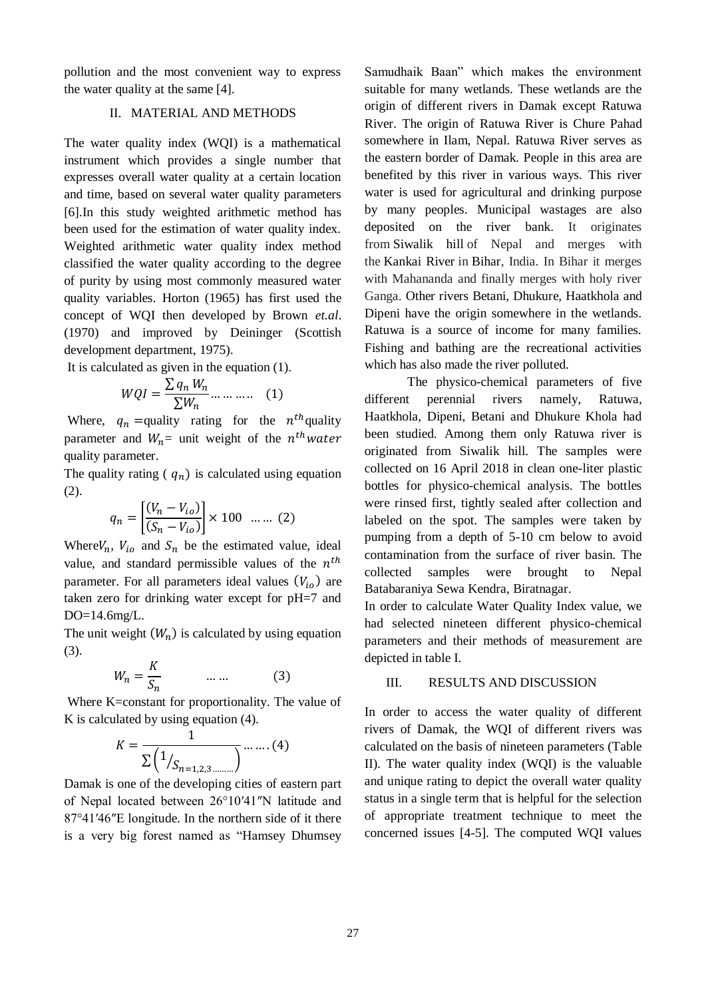pollution and the most convenient way to express the water quality at the same [4].

#### II. MATERIAL AND METHODS

The water quality index (WQI) is a mathematical instrument which provides a single number that expresses overall water quality at a certain location and time, based on several water quality parameters [6].In this study weighted arithmetic method has been used for the estimation of water quality index. Weighted arithmetic water quality index method classified the water quality according to the degree of purity by using most commonly measured water quality variables. Horton (1965) has first used the concept of WQI then developed by Brown *et.al*. (1970) and improved by Deininger (Scottish development department, 1975).

It is calculated as given in the equation (1).

$$
WQI = \frac{\sum q_n W_n}{\sum W_n} \dots \dots \dots \quad (1)
$$

Where,  $q_n =$ quality rating for the  $n^{th}$ quality parameter and  $W_n =$  unit weight of the  $n^{th}water$ quality parameter.

The quality rating ( $q_n$ ) is calculated using equation (2).

$$
q_n = \left[ \frac{(V_n - V_{io})}{(S_n - V_{io})} \right] \times 100 \dots \dots (2)
$$

Where $V_n$ ,  $V_{io}$  and  $S_n$  be the estimated value, ideal value, and standard permissible values of the  $n<sup>th</sup>$ parameter. For all parameters ideal values  $(V_{i_0})$  are taken zero for drinking water except for pH=7 and DO=14.6mg/L.

The unit weight  $(W_n)$  is calculated by using equation (3).

$$
W_n = \frac{K}{S_n} \qquad \dots \dots \tag{3}
$$

Where K=constant for proportionality. The value of K is calculated by using equation (4).

$$
K = \frac{1}{\sum (1/_{S_{n=1,2,3,\dots}})} \dots \dots (4)
$$

Damak is one of the developing cities of eastern part of Nepal located between 26°10′41″N latitude and 87°41′46″E longitude. In the northern side of it there is a very big forest named as "Hamsey Dhumsey Samudhaik Baan" which makes the environment suitable for many wetlands. These wetlands are the origin of different rivers in Damak except Ratuwa River. The origin of Ratuwa River is Chure Pahad somewhere in Ilam, Nepal. Ratuwa River serves as the eastern border of Damak. People in this area are benefited by this river in various ways. This river water is used for agricultural and drinking purpose by many peoples. Municipal wastages are also deposited on the river bank. It originates from Siwalik hill of Nepal and merges with the Kankai River in Bihar, India. In Bihar it merges with Mahananda and finally merges with holy river Ganga. Other rivers Betani, Dhukure, Haatkhola and Dipeni have the origin somewhere in the wetlands. Ratuwa is a source of income for many families. Fishing and bathing are the recreational activities which has also made the river polluted.

The physico-chemical parameters of five different perennial rivers namely, Ratuwa, Haatkhola, Dipeni, Betani and Dhukure Khola had been studied. Among them only Ratuwa river is originated from Siwalik hill. The samples were collected on 16 April 2018 in clean one-liter plastic bottles for physico-chemical analysis. The bottles were rinsed first, tightly sealed after collection and labeled on the spot. The samples were taken by pumping from a depth of 5-10 cm below to avoid contamination from the surface of river basin. The collected samples were brought to Nepal Batabaraniya Sewa Kendra, Biratnagar.

In order to calculate Water Quality Index value, we had selected nineteen different physico-chemical parameters and their methods of measurement are depicted in table I.

### III. RESULTS AND DISCUSSION

In order to access the water quality of different rivers of Damak, the WQI of different rivers was calculated on the basis of nineteen parameters (Table II). The water quality index (WQI) is the valuable and unique rating to depict the overall water quality status in a single term that is helpful for the selection of appropriate treatment technique to meet the concerned issues [4-5]. The computed WQI values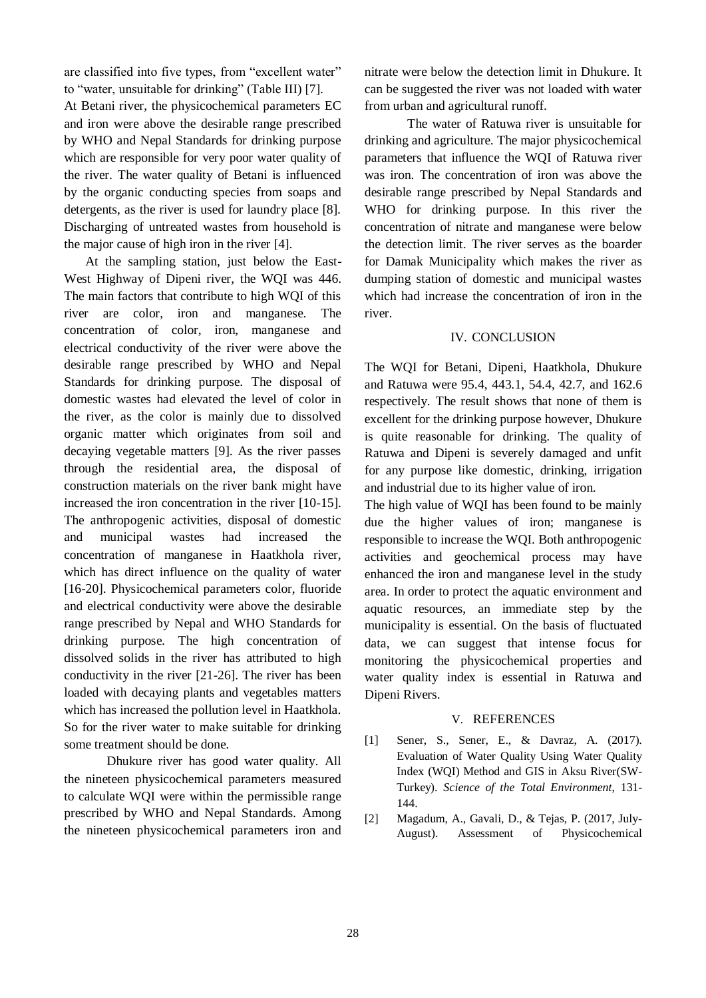are classified into five types, from "excellent water" to "water, unsuitable for drinking" (Table III) [7].

At Betani river, the physicochemical parameters EC and iron were above the desirable range prescribed by WHO and Nepal Standards for drinking purpose which are responsible for very poor water quality of the river. The water quality of Betani is influenced by the organic conducting species from soaps and detergents, as the river is used for laundry place [8]. Discharging of untreated wastes from household is the major cause of high iron in the river [4].

At the sampling station, just below the East-West Highway of Dipeni river, the WQI was 446. The main factors that contribute to high WQI of this river are color, iron and manganese. The concentration of color, iron, manganese and electrical conductivity of the river were above the desirable range prescribed by WHO and Nepal Standards for drinking purpose. The disposal of domestic wastes had elevated the level of color in the river, as the color is mainly due to dissolved organic matter which originates from soil and decaying vegetable matters [9]. As the river passes through the residential area, the disposal of construction materials on the river bank might have increased the iron concentration in the river [10-15]. The anthropogenic activities, disposal of domestic and municipal wastes had increased the concentration of manganese in Haatkhola river, which has direct influence on the quality of water [16-20]. Physicochemical parameters color, fluoride and electrical conductivity were above the desirable range prescribed by Nepal and WHO Standards for drinking purpose. The high concentration of dissolved solids in the river has attributed to high conductivity in the river [21-26]. The river has been loaded with decaying plants and vegetables matters which has increased the pollution level in Haatkhola. So for the river water to make suitable for drinking some treatment should be done.

Dhukure river has good water quality. All the nineteen physicochemical parameters measured to calculate WQI were within the permissible range prescribed by WHO and Nepal Standards. Among the nineteen physicochemical parameters iron and nitrate were below the detection limit in Dhukure. It can be suggested the river was not loaded with water from urban and agricultural runoff.

The water of Ratuwa river is unsuitable for drinking and agriculture. The major physicochemical parameters that influence the WQI of Ratuwa river was iron. The concentration of iron was above the desirable range prescribed by Nepal Standards and WHO for drinking purpose. In this river the concentration of nitrate and manganese were below the detection limit. The river serves as the boarder for Damak Municipality which makes the river as dumping station of domestic and municipal wastes which had increase the concentration of iron in the river.

#### IV. CONCLUSION

The WQI for Betani, Dipeni, Haatkhola, Dhukure and Ratuwa were 95.4, 443.1, 54.4, 42.7, and 162.6 respectively. The result shows that none of them is excellent for the drinking purpose however, Dhukure is quite reasonable for drinking. The quality of Ratuwa and Dipeni is severely damaged and unfit for any purpose like domestic, drinking, irrigation and industrial due to its higher value of iron.

The high value of WQI has been found to be mainly due the higher values of iron; manganese is responsible to increase the WQI. Both anthropogenic activities and geochemical process may have enhanced the iron and manganese level in the study area. In order to protect the aquatic environment and aquatic resources, an immediate step by the municipality is essential. On the basis of fluctuated data, we can suggest that intense focus for monitoring the physicochemical properties and water quality index is essential in Ratuwa and Dipeni Rivers.

#### V. REFERENCES

- [1] Sener, S., Sener, E., & Davraz, A. (2017). Evaluation of Water Quality Using Water Quality Index (WQI) Method and GIS in Aksu River(SW-Turkey). *Science of the Total Environment*, 131- 144.
- [2] Magadum, A., Gavali, D., & Tejas, P. (2017, July-August). Assessment of Physicochemical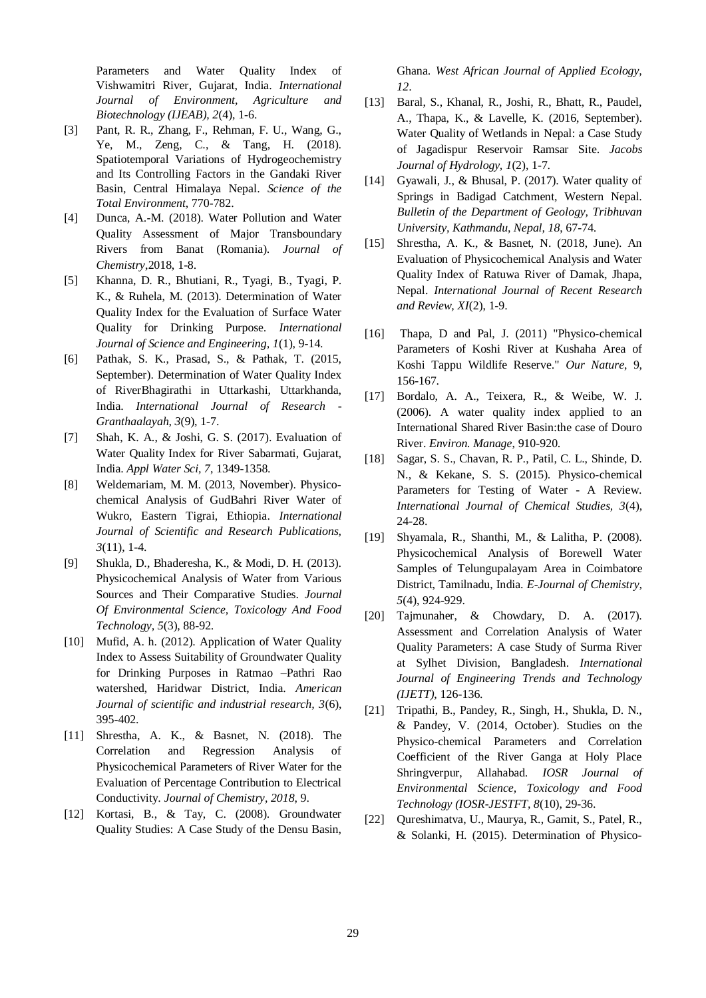Parameters and Water Quality Index of Vishwamitri River, Gujarat, India. *International Journal of Environment, Agriculture and Biotechnology (IJEAB), 2*(4), 1-6.

- [3] Pant, R. R., Zhang, F., Rehman, F. U., Wang, G., Ye, M., Zeng, C., & Tang, H. (2018). Spatiotemporal Variations of Hydrogeochemistry and Its Controlling Factors in the Gandaki River Basin, Central Himalaya Nepal. *Science of the Total Environment*, 770-782.
- [4] Dunca, A.-M. (2018). Water Pollution and Water Quality Assessment of Major Transboundary Rivers from Banat (Romania). *Journal of Chemistry*,2018, 1-8.
- [5] Khanna, D. R., Bhutiani, R., Tyagi, B., Tyagi, P. K., & Ruhela, M. (2013). Determination of Water Quality Index for the Evaluation of Surface Water Quality for Drinking Purpose. *International Journal of Science and Engineering, 1*(1), 9-14.
- [6] Pathak, S. K., Prasad, S., & Pathak, T. (2015, September). Determination of Water Quality Index of RiverBhagirathi in Uttarkashi, Uttarkhanda, India. *International Journal of Research - Granthaalayah, 3*(9), 1-7.
- [7] Shah, K. A., & Joshi, G. S. (2017). Evaluation of Water Quality Index for River Sabarmati, Gujarat, India. *Appl Water Sci, 7*, 1349-1358.
- [8] Weldemariam, M. M. (2013, November). Physicochemical Analysis of GudBahri River Water of Wukro, Eastern Tigrai, Ethiopia. *International Journal of Scientific and Research Publications, 3*(11), 1-4.
- [9] Shukla, D., Bhaderesha, K., & Modi, D. H. (2013). Physicochemical Analysis of Water from Various Sources and Their Comparative Studies. *Journal Of Environmental Science, Toxicology And Food Technology, 5*(3), 88-92.
- [10] Mufid, A. h. (2012). Application of Water Quality Index to Assess Suitability of Groundwater Quality for Drinking Purposes in Ratmao –Pathri Rao watershed, Haridwar District, India. *American Journal of scientific and industrial research, 3*(6), 395-402.
- [11] Shrestha, A. K., & Basnet, N. (2018). The Correlation and Regression Analysis of Physicochemical Parameters of River Water for the Evaluation of Percentage Contribution to Electrical Conductivity. *Journal of Chemistry, 2018*, 9.
- [12] Kortasi, B., & Tay, C. (2008). Groundwater Quality Studies: A Case Study of the Densu Basin,

Ghana. *West African Journal of Applied Ecology, 12*.

- [13] Baral, S., Khanal, R., Joshi, R., Bhatt, R., Paudel, A., Thapa, K., & Lavelle, K. (2016, September). Water Quality of Wetlands in Nepal: a Case Study of Jagadispur Reservoir Ramsar Site. *Jacobs Journal of Hydrology, 1*(2), 1-7.
- [14] Gyawali, J., & Bhusal, P. (2017). Water quality of Springs in Badigad Catchment, Western Nepal. *Bulletin of the Department of Geology, Tribhuvan University, Kathmandu, Nepal, 18*, 67-74.
- [15] Shrestha, A. K., & Basnet, N. (2018, June). An Evaluation of Physicochemical Analysis and Water Quality Index of Ratuwa River of Damak, Jhapa, Nepal. *International Journal of Recent Research and Review, XI*(2), 1-9.
- [16] Thapa, D and Pal, J. (2011) "Physico-chemical Parameters of Koshi River at Kushaha Area of Koshi Tappu Wildlife Reserve." *Our Nature*, 9, 156-167.
- [17] Bordalo, A. A., Teixera, R., & Weibe, W. J. (2006). A water quality index applied to an International Shared River Basin:the case of Douro River. *Environ. Manage*, 910-920.
- [18] Sagar, S. S., Chavan, R. P., Patil, C. L., Shinde, D. N., & Kekane, S. S. (2015). Physico-chemical Parameters for Testing of Water - A Review. *International Journal of Chemical Studies, 3*(4), 24-28.
- [19] Shyamala, R., Shanthi, M., & Lalitha, P. (2008). Physicochemical Analysis of Borewell Water Samples of Telungupalayam Area in Coimbatore District, Tamilnadu, India. *E-Journal of Chemistry, 5*(4), 924-929.
- [20] Tajmunaher, & Chowdary, D. A. (2017). Assessment and Correlation Analysis of Water Quality Parameters: A case Study of Surma River at Sylhet Division, Bangladesh. *International Journal of Engineering Trends and Technology (IJETT)*, 126-136.
- [21] Tripathi, B., Pandey, R., Singh, H., Shukla, D. N., & Pandey, V. (2014, October). Studies on the Physico-chemical Parameters and Correlation Coefficient of the River Ganga at Holy Place Shringverpur, Allahabad. *IOSR Journal of Environmental Science, Toxicology and Food Technology (IOSR-JESTFT, 8*(10), 29-36.
- [22] Qureshimatva, U., Maurya, R., Gamit, S., Patel, R., & Solanki, H. (2015). Determination of Physico-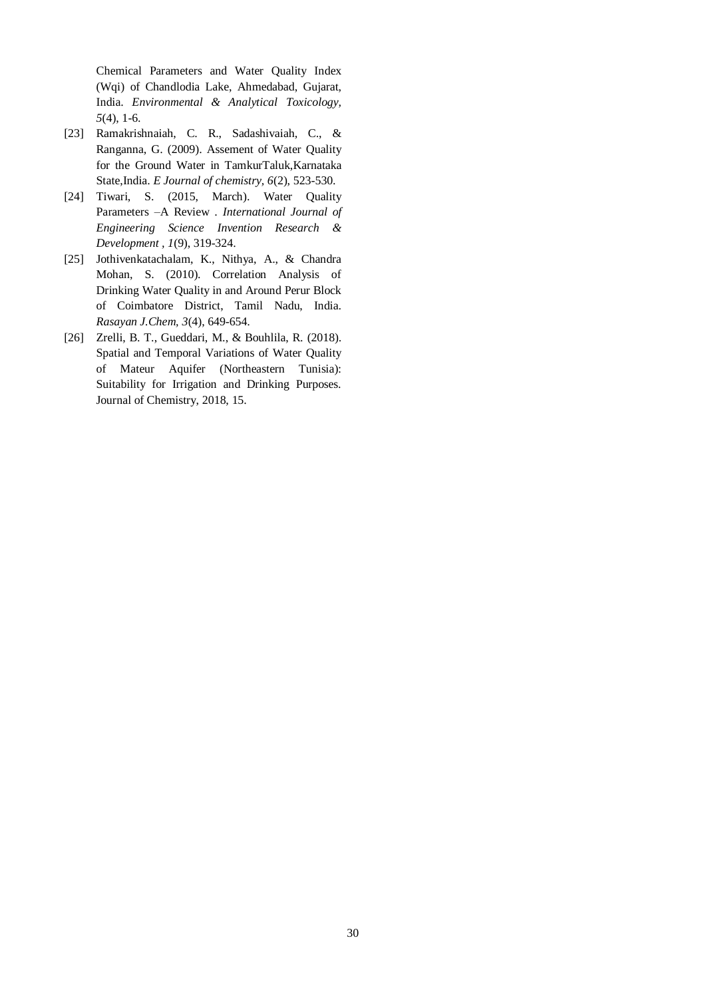Chemical Parameters and Water Quality Index (Wqi) of Chandlodia Lake, Ahmedabad, Gujarat, India. *Environmental & Analytical Toxicology, 5*(4), 1-6.

- [23] Ramakrishnaiah, C. R., Sadashivaiah, C., & Ranganna, G. (2009). Assement of Water Quality for the Ground Water in TamkurTaluk,Karnataka State,India. *E Journal of chemistry, 6*(2), 523-530.
- [24] Tiwari, S. (2015, March). Water Quality Parameters –A Review . *International Journal of Engineering Science Invention Research & Development , 1*(9), 319-324.
- [25] Jothivenkatachalam, K., Nithya, A., & Chandra Mohan, S. (2010). Correlation Analysis of Drinking Water Quality in and Around Perur Block of Coimbatore District, Tamil Nadu, India. *Rasayan J.Chem, 3*(4), 649-654.
- [26] Zrelli, B. T., Gueddari, M., & Bouhlila, R. (2018). Spatial and Temporal Variations of Water Quality of Mateur Aquifer (Northeastern Tunisia): Suitability for Irrigation and Drinking Purposes. Journal of Chemistry, 2018, 15.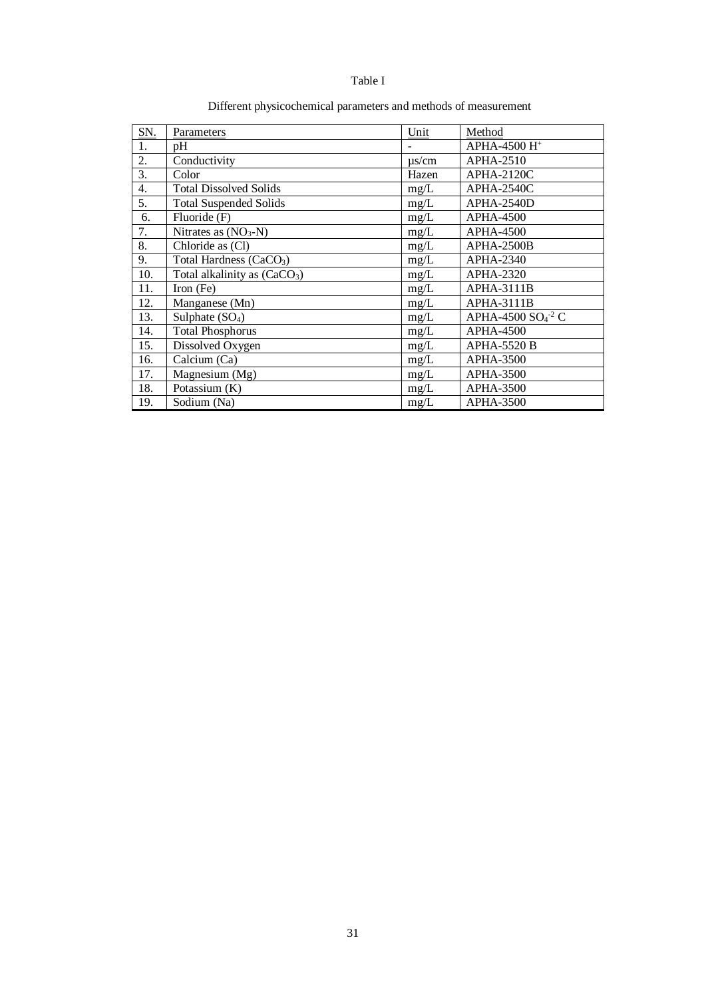#### Table I

| SN. | Parameters                          | Unit       | Method                          |
|-----|-------------------------------------|------------|---------------------------------|
| 1.  | pΗ                                  |            | APHA-4500 H <sup>+</sup>        |
| 2.  | Conductivity                        | $\mu$ s/cm | APHA-2510                       |
| 3.  | Color                               | Hazen      | $APHA-2120C$                    |
| 4.  | <b>Total Dissolved Solids</b>       | mg/L       | APHA-2540C                      |
| 5.  | <b>Total Suspended Solids</b>       | mg/L       | APHA-2540D                      |
| 6.  | Fluoride (F)                        | mg/L       | <b>APHA-4500</b>                |
| 7.  | Nitrates as $(NO3-N)$               | mg/L       | <b>APHA-4500</b>                |
| 8.  | Chloride as (Cl)                    | mg/L       | APHA-2500B                      |
| 9.  | Total Hardness (CaCO <sub>3</sub> ) | mg/L       | APHA-2340                       |
| 10. | Total alkalinity as $(CaCO3)$       | mg/L       | APHA-2320                       |
| 11. | Iron $(Fe)$                         | mg/L       | APHA-3111B                      |
| 12. | Manganese (Mn)                      | mg/L       | APHA-3111B                      |
| 13. | Sulphate $(SO4)$                    | mg/L       | APHA-4500 $SO4$ <sup>-2</sup> C |
| 14. | <b>Total Phosphorus</b>             | mg/L       | <b>APHA-4500</b>                |
| 15. | Dissolved Oxygen                    | mg/L       | <b>APHA-5520 B</b>              |
| 16. | Calcium (Ca)                        | mg/L       | <b>APHA-3500</b>                |
| 17. | Magnesium (Mg)                      | mg/L       | <b>APHA-3500</b>                |
| 18. | Potassium (K)                       | mg/L       | APHA-3500                       |
| 19. | Sodium (Na)                         | mg/L       | <b>APHA-3500</b>                |

## Different physicochemical parameters and methods of measurement